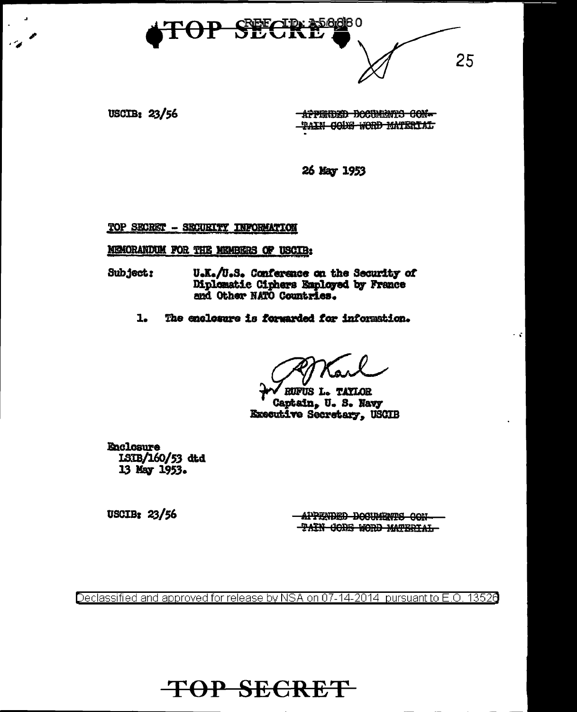

USCIB: 23/56

APPENDED DOCUMENTS CON-TAIN CODE WORD MATERIAL

26 May 1953

TOP SECRET - SECURITY INFORMATION

MEMORANDUM FOR THE MEMBERS OF USCIB:

U.K./U.S. Conference on the Security of Subject: Diplomatic Ciphers Employed by France<br>and Other NATO Countries.

The enclosure is forwarded for information.  $1.$ 

RUFUS L. TAYLOR Captain, U.S. Navy Executive Secretary, USCIB

**Enclosure** ISIB/160/53 dtd 13 May 1953.

 $USCIB: 23/56$ 

**- APPENDED DOCUMENTS CON-TAIN CODE WORD MATERIAL**   $\sim 10$ 

Declassified and approved for release by NSA on 07-14-2014 pursuant to E.O. 13526

**TOP SECRET**